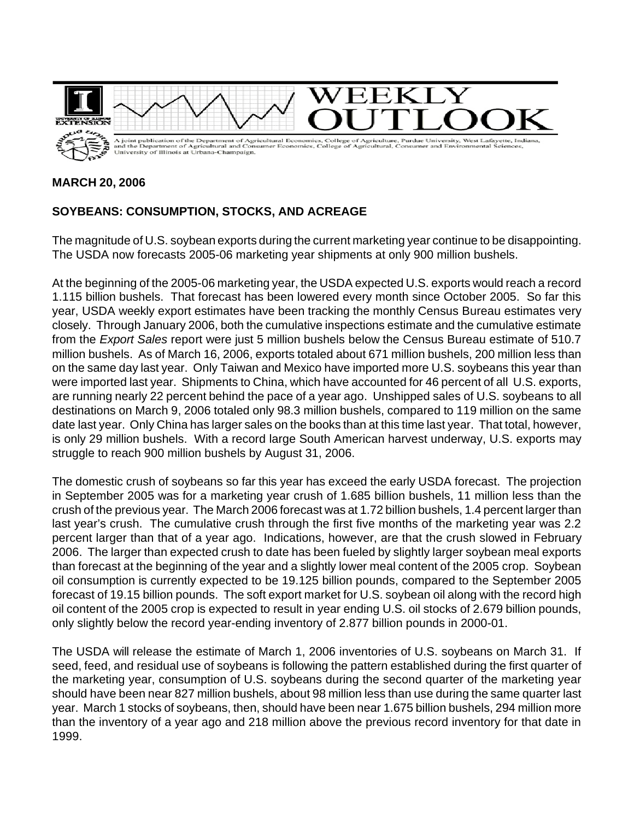

## **MARCH 20, 2006**

## **SOYBEANS: CONSUMPTION, STOCKS, AND ACREAGE**

The magnitude of U.S. soybean exports during the current marketing year continue to be disappointing. The USDA now forecasts 2005-06 marketing year shipments at only 900 million bushels.

At the beginning of the 2005-06 marketing year, the USDA expected U.S. exports would reach a record 1.115 billion bushels. That forecast has been lowered every month since October 2005. So far this year, USDA weekly export estimates have been tracking the monthly Census Bureau estimates very closely. Through January 2006, both the cumulative inspections estimate and the cumulative estimate from the *Export Sales* report were just 5 million bushels below the Census Bureau estimate of 510.7 million bushels. As of March 16, 2006, exports totaled about 671 million bushels, 200 million less than on the same day last year. Only Taiwan and Mexico have imported more U.S. soybeans this year than were imported last year. Shipments to China, which have accounted for 46 percent of all U.S. exports, are running nearly 22 percent behind the pace of a year ago. Unshipped sales of U.S. soybeans to all destinations on March 9, 2006 totaled only 98.3 million bushels, compared to 119 million on the same date last year. Only China has larger sales on the books than at this time last year. That total, however, is only 29 million bushels. With a record large South American harvest underway, U.S. exports may struggle to reach 900 million bushels by August 31, 2006.

The domestic crush of soybeans so far this year has exceed the early USDA forecast. The projection in September 2005 was for a marketing year crush of 1.685 billion bushels, 11 million less than the crush of the previous year. The March 2006 forecast was at 1.72 billion bushels, 1.4 percent larger than last year's crush. The cumulative crush through the first five months of the marketing year was 2.2 percent larger than that of a year ago. Indications, however, are that the crush slowed in February 2006. The larger than expected crush to date has been fueled by slightly larger soybean meal exports than forecast at the beginning of the year and a slightly lower meal content of the 2005 crop. Soybean oil consumption is currently expected to be 19.125 billion pounds, compared to the September 2005 forecast of 19.15 billion pounds. The soft export market for U.S. soybean oil along with the record high oil content of the 2005 crop is expected to result in year ending U.S. oil stocks of 2.679 billion pounds, only slightly below the record year-ending inventory of 2.877 billion pounds in 2000-01.

The USDA will release the estimate of March 1, 2006 inventories of U.S. soybeans on March 31. If seed, feed, and residual use of soybeans is following the pattern established during the first quarter of the marketing year, consumption of U.S. soybeans during the second quarter of the marketing year should have been near 827 million bushels, about 98 million less than use during the same quarter last year. March 1 stocks of soybeans, then, should have been near 1.675 billion bushels, 294 million more than the inventory of a year ago and 218 million above the previous record inventory for that date in 1999.